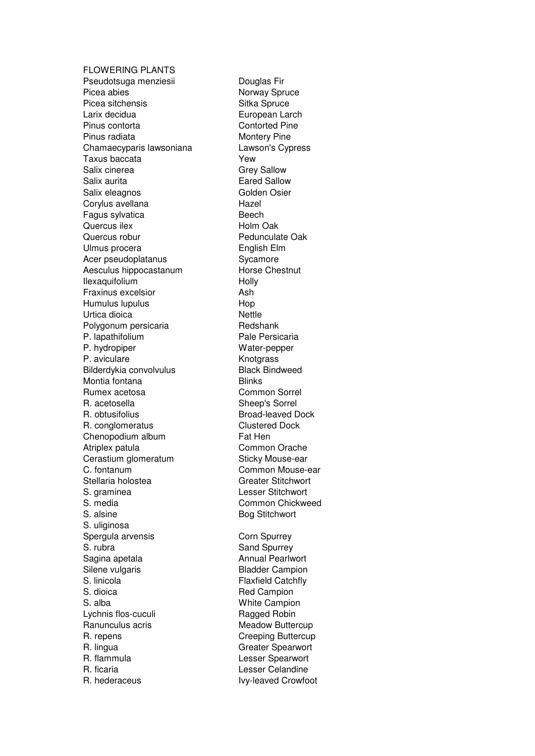FLOWERING PLANTS Pseudotsuga menziesii **Douglas Fir** Picea abies Norway Spruce Picea sitchensis Sitka Spruce Larix decidua **European Larch** Pinus contorta Contorted Pine Pinus radiata Montery Pine Chamaecyparis lawsoniana Lawson's Cypress Taxus baccata Yew Salix cinerea Grey Sallow Salix aurita<br>
Salix eleagnos<br>
Golden Osier Salix eleagnos Corylus avellana entry and Hazel Fagus sylvatica **Beech** Quercus ilex **Holm** Oak Quercus robur **Pedunculate Oak** Ulmus procera **English Elm** Acer pseudoplatanus Sycamore Aesculus hippocastanum Horse Chestnut Ilexaquifolium **Holly** Fraxinus excelsior **Ash** Humulus lupulus Hop Urtica dioica **Nettle** Polygonum persicaria Redshank P. lapathifolium Pale Persicaria P. hydropiper Water-pepper P. aviculare **Knotgrass** Bilderdykia convolvulus Black Bindweed Montia fontana **Blinks** Rumex acetosa Common Sorrel R. acetosella Sheep's Sorrel R. obtusifolius **Broad-leaved Dock** R. conglomeratus Clustered Dock Chenopodium album Fat Hen Atriplex patula Common Orache Cerastium glomeratum Sticky Mouse-ear C. fontanum Common Mouse-ear Stellaria holostea Greater Stitchwort S. graminea Lesser Stitchwort S. media Common Chickweed S. alsine Bog Stitchwort S. uliginosa Spergula arvensis Corn Spurrey S. rubra Sand Spurrey Sagina apetala **Annual Pearlwort** Silene vulgaris **Bladder Campion** S. linicola Flaxfield Catchfly S. dioica Red Campion S. alba White Campion Lychnis flos-cuculi Ragged Robin Ranunculus acris **Meadow Buttercup** R. repens **Creeping Buttercup** R. lingua **Greater** Spearwort R. flammula Lesser Spearwort R. ficaria **R. ficaria** Lesser Celandine R. hederaceus **IVy-leaved Crowfoot**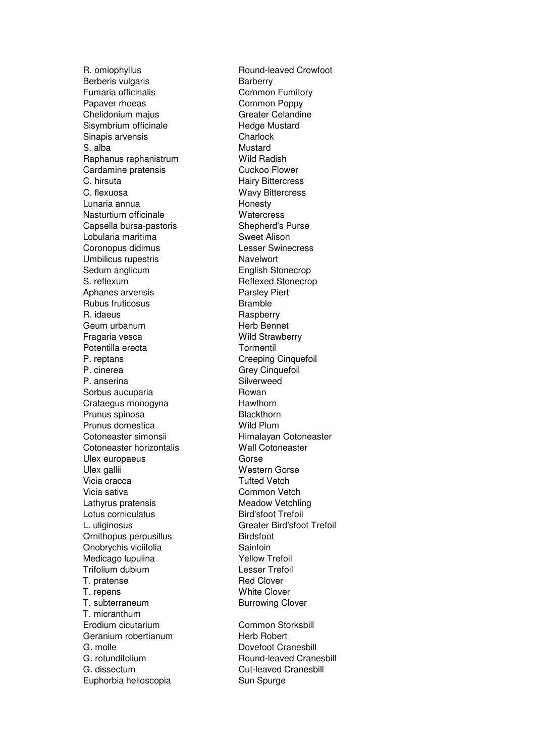Berberis vulgaris **Barberry** Fumaria officinalis **Common Fumitory** Papaver rhoeas Common Poppy Chelidonium majus Greater Celandine Sisymbrium officinale Hedge Mustard Sinapis arvensis **Charlock** S. alba Mustard Raphanus raphanistrum Wild Radish Cardamine pratensis **Cuckoo Flower** C. hirsuta **C. hirsuta** Hairy Bittercress<br>C. flexuosa **C. Hairy Bittercress** Lunaria annua **Honesty** Nasturtium officinale **Watercress** Capsella bursa-pastoris Shepherd's Purse Lobularia maritima Sweet Alison Coronopus didimus Lesser Swinecress Umbilicus rupestris Navelwort Sedum anglicum **English Stonecrop** S. reflexum Reflexed Stonecrop Aphanes arvensis **Parsley Parsley Piert** Rubus fruticosus **Bramble** R. idaeus Raspberry Geum urbanum **Herb Bennet** Fragaria vesca<br>
Wild Strawberry Potentilla erecta Tormentil P. reptans **Creeping Cinquefoil** P. cinerea Grey Cinquefoil P. anserina Silverweed Sorbus aucuparia **Rowan** Crataegus monogyna<br>
Hawthorn Prunus spinosa Blackthorn Prunus domestica Wild Plum Cotoneaster simonsii Himalayan Cotoneaster Cotoneaster horizontalis Wall Cotoneaster Ulex europaeus Gorse Ulex gallii Western Gorse Vicia cracca **Tufted Vetch** Vicia sativa **Common Vetch** Lathyrus pratensis Meadow Vetchling Lotus corniculatus **Bird'sfoot Trefoil** L. uliginosus Greater Bird'sfoot Trefoil Ornithopus perpusillus **Birdsfoot** Onobrychis viciifolia<br>
Medicago Iupulina<br>
Medicago Iupulina<br>
Sainfoin<br>
Yellow Trefoil Medicago lupulina Trifolium dubium Lesser Trefoil T. pratense Red Clover T. repens White Clover T. subterraneum Burrowing Clover T. micranthum Erodium cicutarium Common Storksbill Geranium robertianum et al. Herb Robert G. molle **Dovefoot Cranesbill** G. rotundifolium Round-leaved Cranesbill G. dissectum Cut-leaved Cranesbill Euphorbia helioscopia Sun Spurge

R. omiophyllus Round-leaved Crowfoot Wavy Bittercress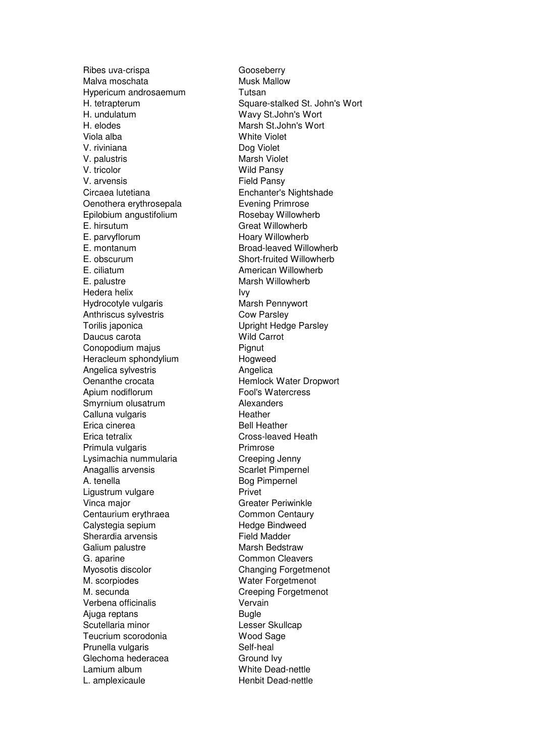Ribes uva-crispa Gooseberry Malva moschata Musk Mallow Hypericum androsaemum Tutsan H. undulatum Wavy St.John's Wort H. elodes Marsh St.John's Wort Viola alba White Violet V. riviniana Dog Violet V. palustris Marsh Violet V. tricolor Wild Pansy V. arvensis<br>Circaea lutetiana in Enchanter's Oenothera erythrosepala Evening Primrose Epilobium angustifolium Rosebay Willowherb E. hirsutum Great Willowherb E. parvyflorum Hoary Willowherb E. montanum Broad-leaved Willowherb E. obscurum Short-fruited Willowherb E. ciliatum **American Willowherb** E. palustre Marsh Willowherb Hedera helix **Ivy** Hydrocotyle vulgaris Marsh Pennywort Anthriscus sylvestris Cow Parsley Torilis japonica<br>
Upright Hedge Parsley Daucus carota **Wild Carrot** Conopodium majus **Pignut** Heracleum sphondylium and Hogweed Angelica sylvestris **Angelica** Oenanthe crocata Hemlock Water Dropwort Apium nodiflorum extension of Fool's Watercress Smyrnium olusatrum **Alexanders** Calluna vulgaris **Heather** Erica cinerea **Bell Heather** Erica tetralix Cross-leaved Heath Primula vulgaris **Primage 1966** Lysimachia nummularia Creeping Jenny Anagallis arvensis Scarlet Pimpernel A. tenella Bog Pimpernel Ligustrum vulgare **Privet** Vinca major Greater Periwinkle Centaurium erythraea Common Centaury Calystegia sepium Hedge Bindweed Sherardia arvensis **Field Madder** Galium palustre **Marsh Bedstraw** G. aparine Common Cleavers Myosotis discolor Changing Forgetmenot M. scorpiodes Water Forgetmenot M. secunda Creeping Forgetmenot Verbena officinalis Vervain Ajuga reptans **Bugle** Scutellaria minor **Lesser Skullcap** Teucrium scorodonia Wood Sage Prunella vulgaris **Self-heal** Glechoma hederacea Ground Ivy Lamium album White Dead-nettle L. amplexicaule Henbit Dead-nettle

H. tetrapterum Square-stalked St. John's Wort Enchanter's Nightshade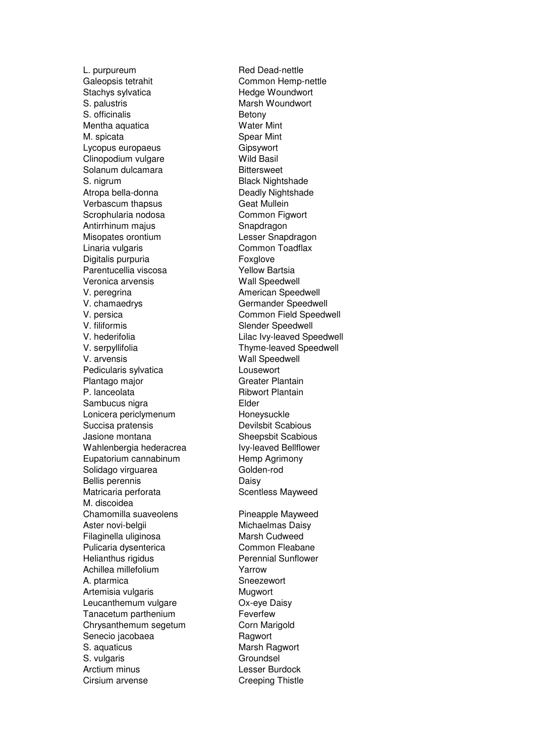Galeopsis tetrahit Common Hemp-nettle Stachys sylvatica Hedge Woundwort S. palustris Marsh Woundwort S. officinalis Betony Mentha aquatica Water Mint M. spicata Spear Mint Lycopus europaeus **Gipsywort** Clinopodium vulgare Wild Basil Solanum dulcamara Bittersweet S. nigrum Black Nightshade<br>Atropa bella-donna bella Black Nightshade Atropa bella-donna Verbascum thapsus Geat Mullein Scrophularia nodosa Common Figwort Antirrhinum majus **Shandragon** Misopates orontium Lesser Snapdragon Linaria vulgaris **Common Toadflax** Digitalis purpuria Foxglove Parentucellia viscosa<br>
Yellow Bartsia Veronica arvensis Wall Speedwell V. peregrina **American** Speedwell V. chamaedrys Germander Speedwell V. persica Common Field Speedwell V. filiformis Slender Speedwell V. hederifolia entitled via Lilac Ivy-leaved Speedwell V. serpyllifolia Thyme-leaved Speedwell V. arvensis Wall Speedwell Pedicularis sylvatica **Lousewort** Plantago major Greater Plantain P. lanceolata Ribwort Plantain Sambucus nigra **Elder** Lonicera periclymenum Honeysuckle Succisa pratensis **Devilsbit Scabious** Jasione montana Sheepsbit Scabious Wahlenbergia hederacrea Ivy-leaved Bellflower Eupatorium cannabinum et al. Hemp Agrimony Solidago virguarea Golden-rod Bellis perennis **Daisy** Matricaria perforata Scentless Mayweed M. discoidea Chamomilla suaveolens Pineapple Mayweed Aster novi-belgii Michaelmas Daisy Filaginella uliginosa Marsh Cudweed Pulicaria dysenterica<br>
Helianthus rigidus<br>
Perennial Sunflower Achillea millefolium **Yarrow** A. ptarmica Sneezewort Artemisia vulgaris **Mugman** Mugwort Leucanthemum vulgare **OX-eye Daisy** Tanacetum parthenium Feverfew Chrysanthemum segetum Corn Marigold Senecio jacobaea Ragwort S. aquaticus **Marsh Ragwort** Marsh Ragwort S. vulgaris Groundsel Arctium minus **Lesser Burdock** Cirsium arvense Creeping Thistle

L. purpureum Red Dead-nettle Perennial Sunflower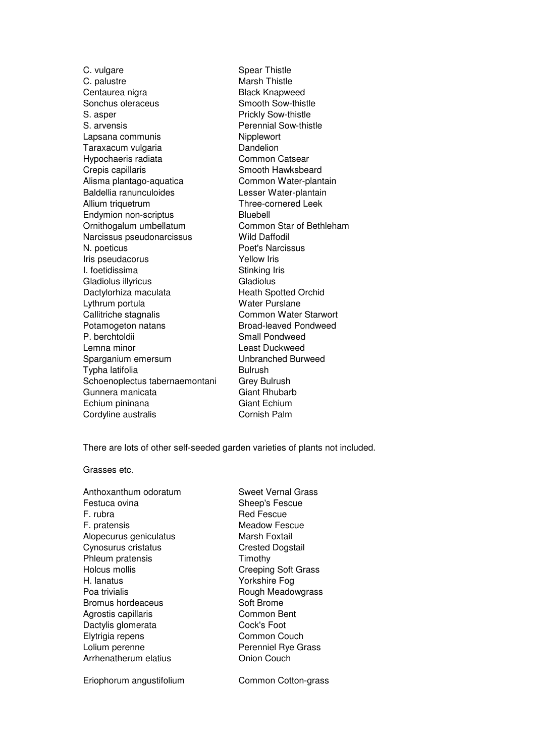C. vulgare Spear Thistle C. palustre Marsh Thistle Centaurea nigra **Black Knapweed** Sonchus oleraceus Smooth Sow-thistle S. asper **Prickly Sow-thistle** S. arvensis **Perennial Sow-thistle** Lapsana communis Nipplewort Taraxacum vulgaria **Dandelion** Hypochaeris radiata Common Catsear Crepis capillaris **Smooth Hawksbeard** Alisma plantago-aquatica Common Water-plantain Baldellia ranunculoides Lesser Water-plantain Allium triquetrum Three-cornered Leek Endymion non-scriptus **Bluebell** Ornithogalum umbellatum Common Star of Bethleham Narcissus pseudonarcissus Wild Daffodil N. poeticus **Poet's Narcissus** Iris pseudacorus Yellow Iris I. foetidissima Stinking Iris Gladiolus illyricus **Gladiolus** Dactylorhiza maculata **Heath Spotted Orchid** Lythrum portula Water Purslane Callitriche stagnalis Common Water Starwort Potamogeton natans Broad-leaved Pondweed<br>
P. berchtoldii Small Pondweed Lemna minor **Least Duckweed** Sparganium emersum Unbranched Burweed Typha latifolia and a Bulrush Schoenoplectus tabernaemontani Grey Bulrush Gunnera manicata Giant Rhubarb Echium pininana Giant Echium Cordyline australis **Cornish Palm** 

Small Pondweed

There are lots of other self-seeded garden varieties of plants not included.

Grasses etc.

Anthoxanthum odoratum Sweet Vernal Grass Festuca ovina **Sheep's Fescue** F. rubra **Red Fescue** Red Fescue F. pratensis Meadow Fescue Alopecurus geniculatus Marsh Foxtail Cynosurus cristatus Cynosurus cristatus Crested Dogstail Phleum pratensis Timothy Holcus mollis Creeping Soft Grass H. lanatus Yorkshire Fog Poa trivialis **Rough Meadowgrass** Rough Meadowgrass Bromus hordeaceus Soft Brome Agrostis capillaris **Common Bent** Dactylis glomerata Cock's Foot Elytrigia repens Common Couch Lolium perenne **Perenniel Rye Grass** Arrhenatherum elatius **Conion Couch** 

Eriophorum angustifolium Common Cotton-grass